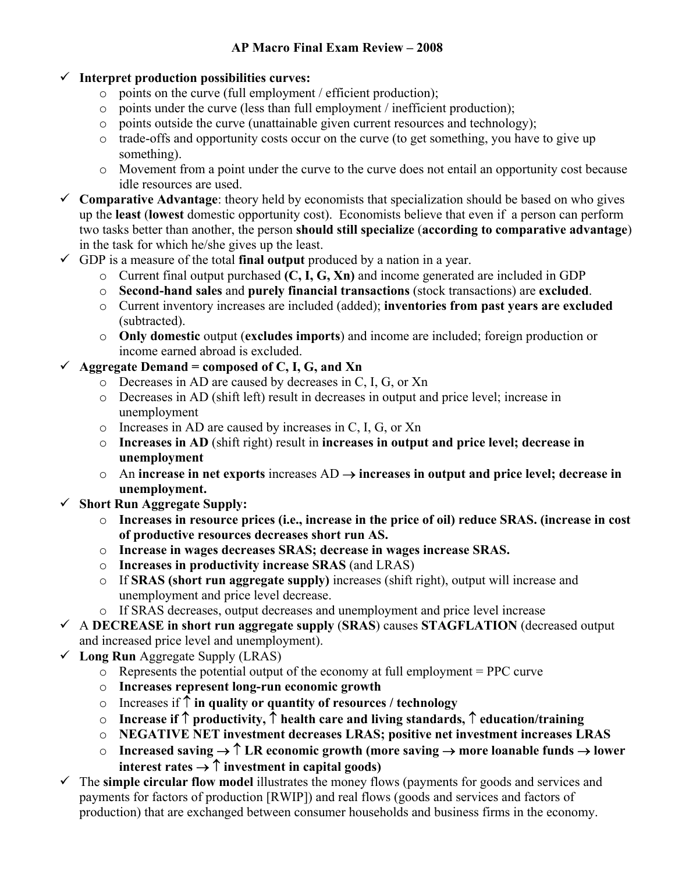## 9 **Interpret production possibilities curves:**

- o points on the curve (full employment / efficient production);
- o points under the curve (less than full employment / inefficient production);
- o points outside the curve (unattainable given current resources and technology);
- $\circ$  trade-offs and opportunity costs occur on the curve (to get something, you have to give up something).
- o Movement from a point under the curve to the curve does not entail an opportunity cost because idle resources are used.
- $\checkmark$  Comparative Advantage: theory held by economists that specialization should be based on who gives up the **least** (**lowest** domestic opportunity cost). Economists believe that even if a person can perform two tasks better than another, the person **should still specialize** (**according to comparative advantage**) in the task for which he/she gives up the least.
- $\checkmark$  GDP is a measure of the total **final output** produced by a nation in a year.
	- o Current final output purchased **(C, I, G, Xn)** and income generated are included in GDP
	- o **Second-hand sales** and **purely financial transactions** (stock transactions) are **excluded**.
	- o Current inventory increases are included (added); **inventories from past years are excluded** (subtracted).
	- o **Only domestic** output (**excludes imports**) and income are included; foreign production or income earned abroad is excluded.
- $\checkmark$  Aggregate Demand = composed of C, I, G, and Xn
	- o Decreases in AD are caused by decreases in C, I, G, or Xn
	- o Decreases in AD (shift left) result in decreases in output and price level; increase in unemployment
	- o Increases in AD are caused by increases in C, I, G, or Xn
	- o **Increases in AD** (shift right) result in **increases in output and price level; decrease in unemployment**
	- o An **increase in net exports** increases AD → **increases in output and price level; decrease in unemployment.**
- 9 **Short Run Aggregate Supply:** 
	- o **Increases in resource prices (i.e., increase in the price of oil) reduce SRAS. (increase in cost of productive resources decreases short run AS.**
	- o **Increase in wages decreases SRAS; decrease in wages increase SRAS.**
	- o **Increases in productivity increase SRAS** (and LRAS)
	- o If **SRAS (short run aggregate supply)** increases (shift right), output will increase and unemployment and price level decrease.
	- o If SRAS decreases, output decreases and unemployment and price level increase
- 9 A **DECREASE in short run aggregate supply** (**SRAS**) causes **STAGFLATION** (decreased output and increased price level and unemployment).
- $\checkmark$  Long Run Aggregate Supply (LRAS)
	- $\circ$  Represents the potential output of the economy at full employment = PPC curve
	- o **Increases represent long-run economic growth**
	- o Increases if ↑ **in quality or quantity of resources / technology**
	- o **Increase if** ↑ **productivity,** ↑ **health care and living standards,** ↑ **education/training**
	- o **NEGATIVE NET investment decreases LRAS; positive net investment increases LRAS**
	- o **Increased saving** → ↑ **LR economic growth (more saving** → **more loanable funds** → **lower interest rates**  $\rightarrow$  $\uparrow$  **investment in capital goods)**
- $\checkmark$  The **simple circular flow model** illustrates the money flows (payments for goods and services and payments for factors of production [RWIP]) and real flows (goods and services and factors of production) that are exchanged between consumer households and business firms in the economy.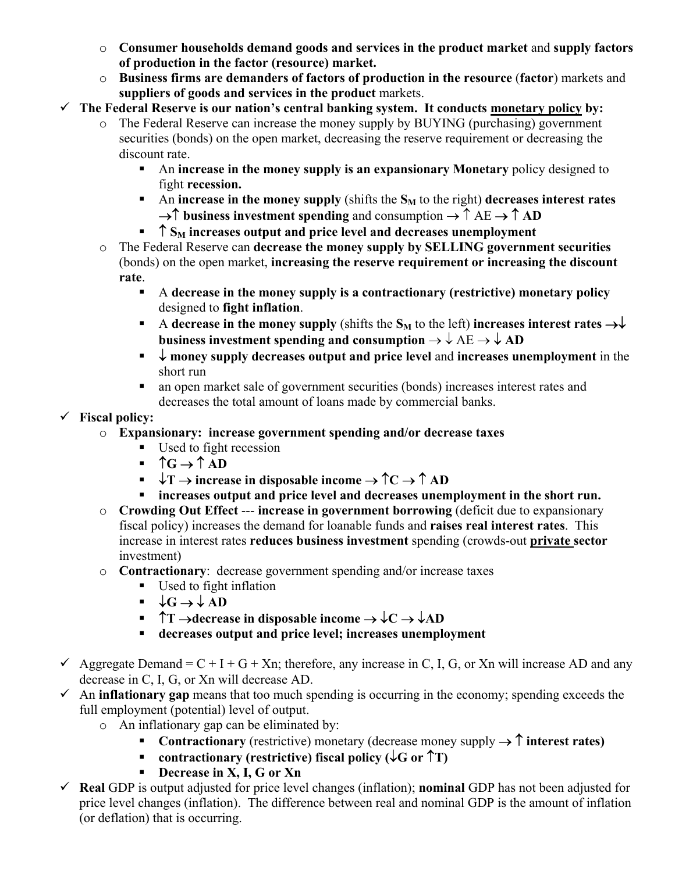- o **Consumer households demand goods and services in the product market** and **supply factors of production in the factor (resource) market.**
- o **Business firms are demanders of factors of production in the resource** (**factor**) markets and **suppliers of goods and services in the product** markets.
- $\checkmark$  The Federal Reserve is our nation's central banking system. It conducts monetary policy by:
	- o The Federal Reserve can increase the money supply by BUYING (purchasing) government securities (bonds) on the open market, decreasing the reserve requirement or decreasing the discount rate.
		- An **increase in the money supply is an expansionary Monetary** policy designed to fight **recession.**
		- An **increase in the money supply** (shifts the  $S_M$  to the right) **decreases interest rates** →↑ **business investment spending** and consumption → ↑ AE → ↑ **AD**
		- ↑ S<sub>M</sub> increases output and price level and decreases unemployment
	- o The Federal Reserve can **decrease the money supply by SELLING government securities** (bonds) on the open market, **increasing the reserve requirement or increasing the discount rate**.
		- A **decrease in the money supply is a contractionary (restrictive) monetary policy** designed to **fight inflation**.
		- A **decrease in the money supply** (shifts the  $S_M$  to the left) **increases interest rates**  $\rightarrow \downarrow$ **business investment spending and consumption**  $\rightarrow \downarrow$  **AE**  $\rightarrow \downarrow$  **AD**
		- ↓ **money supply decreases output and price level** and **increases unemployment** in the short run
		- an open market sale of government securities (bonds) increases interest rates and decreases the total amount of loans made by commercial banks.

## 9 **Fiscal policy:**

- o **Expansionary: increase government spending and/or decrease taxes**
	- Used to fight recession
	- $\uparrow$   $\uparrow$  G  $\rightarrow$   $\uparrow$  AD
	- $\blacktriangleright$  **T** → increase in disposable income  $\rightarrow$   $\uparrow$  **C**  $\rightarrow$   $\uparrow$  **AD**
	- **increases output and price level and decreases unemployment in the short run.**
- o **Crowding Out Effect** --- **increase in government borrowing** (deficit due to expansionary fiscal policy) increases the demand for loanable funds and **raises real interest rates**. This increase in interest rates **reduces business investment** spending (crowds-out **private sector** investment)

## o **Contractionary**: decrease government spending and/or increase taxes

- Used to fight inflation
- $\downarrow$ **G** →  $\downarrow$  AD
- ↑**T** →**decrease in disposable income** → ↓**C** → ↓**AD**
- **decreases output and price level; increases unemployment**
- $\checkmark$  Aggregate Demand = C + I + G + Xn; therefore, any increase in C, I, G, or Xn will increase AD and any decrease in C, I, G, or Xn will decrease AD.
- $\checkmark$  An **inflationary gap** means that too much spending is occurring in the economy; spending exceeds the full employment (potential) level of output.
	- o An inflationary gap can be eliminated by:
		- **Contractionary** (restrictive) monetary (decrease money supply → ↑ **interest rates)**
		- **contractionary (restrictive) fiscal policy (**↓**G or** ↑**T)**
		- **Decrease in X, I, G or Xn**
- $\checkmark$  **Real** GDP is output adjusted for price level changes (inflation); **nominal** GDP has not been adjusted for price level changes (inflation). The difference between real and nominal GDP is the amount of inflation (or deflation) that is occurring.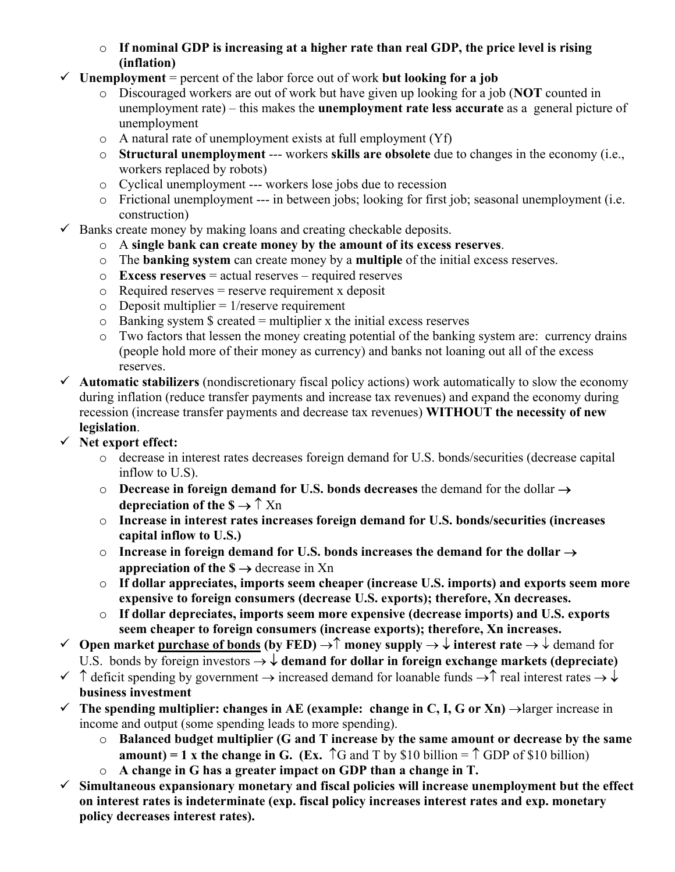- o **If nominal GDP is increasing at a higher rate than real GDP, the price level is rising (inflation)**
- $\checkmark$  Unemployment = percent of the labor force out of work **but looking for a job** 
	- o Discouraged workers are out of work but have given up looking for a job (**NOT** counted in unemployment rate) – this makes the **unemployment rate less accurate** as a general picture of unemployment
	- o A natural rate of unemployment exists at full employment (Yf)
	- o **Structural unemployment** --- workers **skills are obsolete** due to changes in the economy (i.e., workers replaced by robots)
	- o Cyclical unemployment --- workers lose jobs due to recession
	- o Frictional unemployment --- in between jobs; looking for first job; seasonal unemployment (i.e. construction)
- $\checkmark$  Banks create money by making loans and creating checkable deposits.
	- o A **single bank can create money by the amount of its excess reserves**.
	- o The **banking system** can create money by a **multiple** of the initial excess reserves.
	- o **Excess reserves** = actual reserves required reserves
	- $\circ$  Required reserves = reserve requirement x deposit
	- $\circ$  Deposit multiplier = 1/reserve requirement
	- $\circ$  Banking system \$ created = multiplier x the initial excess reserves
	- o Two factors that lessen the money creating potential of the banking system are: currency drains (people hold more of their money as currency) and banks not loaning out all of the excess reserves.
- $\checkmark$  **Automatic stabilizers** (nondiscretionary fiscal policy actions) work automatically to slow the economy during inflation (reduce transfer payments and increase tax revenues) and expand the economy during recession (increase transfer payments and decrease tax revenues) **WITHOUT the necessity of new legislation**.
- 9 **Net export effect:** 
	- o decrease in interest rates decreases foreign demand for U.S. bonds/securities (decrease capital inflow to U.S).
	- o **Decrease in foreign demand for U.S. bonds decreases** the demand for the dollar → **depreciation of the**  $\mathbf{s} \rightarrow \hat{\mathbf{\Gamma}}$  Xn
	- o **Increase in interest rates increases foreign demand for U.S. bonds/securities (increases capital inflow to U.S.)**
	- o **Increase in foreign demand for U.S. bonds increases the demand for the dollar** → **appreciation of the**  $\$\rightarrow$  **decrease in Xn**
	- o **If dollar appreciates, imports seem cheaper (increase U.S. imports) and exports seem more expensive to foreign consumers (decrease U.S. exports); therefore, Xn decreases.**
	- o **If dollar depreciates, imports seem more expensive (decrease imports) and U.S. exports seem cheaper to foreign consumers (increase exports); therefore, Xn increases.**
- 9 **Open market purchase of bonds (by FED)** →↑ **money supply** → ↓ **interest rate** → ↓ demand for U.S. bonds by foreign investors  $\rightarrow \downarrow$  demand for dollar in foreign exchange markets (depreciate)
- $\checkmark$  ↑ deficit spending by government  $\to$  increased demand for loanable funds  $\checkmark$  real interest rates  $\to \checkmark$ **business investment**
- $\checkmark$  The spending multiplier: changes in AE (example: change in C, I, G or Xn)  $\to$  larger increase in income and output (some spending leads to more spending).
	- o **Balanced budget multiplier (G and T increase by the same amount or decrease by the same amount) = 1 x the change in G.** (Ex.  $\uparrow$ G and T by \$10 billion =  $\uparrow$  GDP of \$10 billion)
	- o **A change in G has a greater impact on GDP than a change in T.**
- $\checkmark$  Simultaneous expansionary monetary and fiscal policies will increase unemployment but the effect **on interest rates is indeterminate (exp. fiscal policy increases interest rates and exp. monetary policy decreases interest rates).**